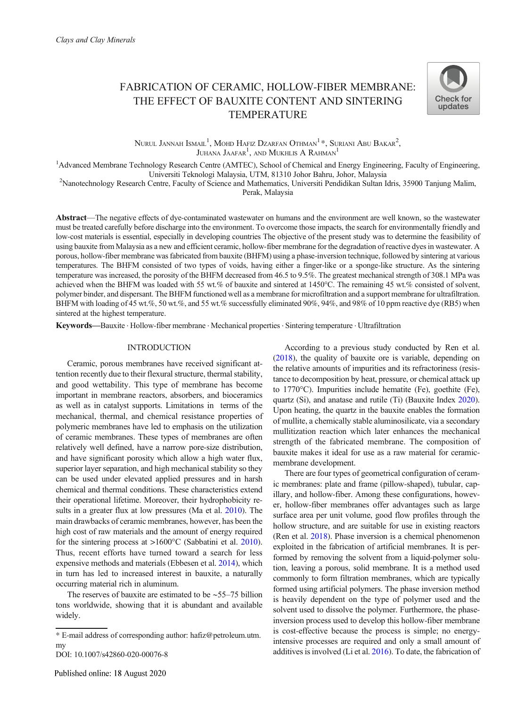# FABRICATION OF CERAMIC, HOLLOW-FIBER MEMBRANE: THE EFFECT OF BAUXITE CONTENT AND SINTERING TEMPERATURE



Nurul Jannah Ismail<sup>1</sup>, Mohd Hafiz Dzarfan Othman<sup>1 \*</sup>, Suriani Abu Bakar<sup>2</sup>, Juhana Jaafar<sup>1</sup>, and Mukhlis A Rahman<sup>1</sup>

<sup>1</sup>Advanced Membrane Technology Research Centre (AMTEC), School of Chemical and Energy Engineering, Faculty of Engineering,

Universiti Teknologi Malaysia, UTM, 81310 Johor Bahru, Johor, Malaysia <sup>2</sup> Nanotechnology Research Centre, Faculty of Science and Mathematics, Universiti Pendidikan Sultan Idris, 35900 Tanjung Malim,

Perak, Malaysia

Abstract—The negative effects of dye-contaminated wastewater on humans and the environment are well known, so the wastewater must be treated carefully before discharge into the environment. To overcome those impacts, the search for environmentally friendly and low-cost materials is essential, especially in developing countries The objective of the present study was to determine the feasibility of using bauxite from Malaysia as a new and efficient ceramic, hollow-fiber membrane for the degradation of reactive dyes in wastewater. A porous, hollow-fiber membrane was fabricated from bauxite (BHFM) using a phase-inversion technique, followed by sintering at various temperatures. The BHFM consisted of two types of voids, having either a finger-like or a sponge-like structure. As the sintering temperature was increased, the porosity of the BHFM decreased from 46.5 to 9.5%. The greatest mechanical strength of 308.1 MPa was achieved when the BHFM was loaded with 55 wt.% of bauxite and sintered at 1450°C. The remaining 45 wt.% consisted of solvent, polymer binder, and dispersant. The BHFM functioned well as a membrane for microfiltration and a support membrane for ultrafiltration. BHFM with loading of 45 wt.%, 50 wt.%, and 55 wt.% successfully eliminated 90%, 94%, and 98% of 10 ppm reactive dye (RB5) when sintered at the highest temperature.

Keywords—Bauxite . Hollow-fiber membrane . Mechanical properties . Sintering temperature . Ultrafiltration

# INTRODUCTION

Ceramic, porous membranes have received significant attention recently due to their flexural structure, thermal stability, and good wettability. This type of membrane has become important in membrane reactors, absorbers, and bioceramics as well as in catalyst supports. Limitations in terms of the mechanical, thermal, and chemical resistance properties of polymeric membranes have led to emphasis on the utilization of ceramic membranes. These types of membranes are often relatively well defined, have a narrow pore-size distribution, and have significant porosity which allow a high water flux, superior layer separation, and high mechanical stability so they can be used under elevated applied pressures and in harsh chemical and thermal conditions. These characteristics extend their operational lifetime. Moreover, their hydrophobicity results in a greater flux at low pressures (Ma et al. [2010](#page-9-0)). The main drawbacks of ceramic membranes, however, has been the high cost of raw materials and the amount of energy required for the sintering process at >1600°C (Sabbatini et al. [2010\)](#page-9-0). Thus, recent efforts have turned toward a search for less expensive methods and materials (Ebbesen et al. [2014](#page-8-0)), which in turn has led to increased interest in bauxite, a naturally occurring material rich in aluminum.

The reserves of bauxite are estimated to be ∼55–75 billion tons worldwide, showing that it is abundant and available widely.

According to a previous study conducted by Ren et al. [\(2018](#page-9-0)), the quality of bauxite ore is variable, depending on the relative amounts of impurities and its refractoriness (resistance to decomposition by heat, pressure, or chemical attack up to 1770°C). Impurities include hematite (Fe), goethite (Fe), quartz (Si), and anatase and rutile (Ti) (Bauxite Index [2020](#page-8-0)). Upon heating, the quartz in the bauxite enables the formation of mullite, a chemically stable aluminosilicate, via a secondary mullitization reaction which later enhances the mechanical strength of the fabricated membrane. The composition of bauxite makes it ideal for use as a raw material for ceramicmembrane development.

There are four types of geometrical configuration of ceramic membranes: plate and frame (pillow-shaped), tubular, capillary, and hollow-fiber. Among these configurations, however, hollow-fiber membranes offer advantages such as large surface area per unit volume, good flow profiles through the hollow structure, and are suitable for use in existing reactors (Ren et al. [2018](#page-9-0)). Phase inversion is a chemical phenomenon exploited in the fabrication of artificial membranes. It is performed by removing the solvent from a liquid-polymer solution, leaving a porous, solid membrane. It is a method used commonly to form filtration membranes, which are typically formed using artificial polymers. The phase inversion method is heavily dependent on the type of polymer used and the solvent used to dissolve the polymer. Furthermore, the phaseinversion process used to develop this hollow-fiber membrane is cost-effective because the process is simple; no energyintensive processes are required and only a small amount of additives is involved (Li et al. [2016](#page-8-0)). To date, the fabrication of

<sup>\*</sup> E-mail address of corresponding author: hafiz@petroleum.utm. my

DOI: 10.1007/s42860-020-00076-8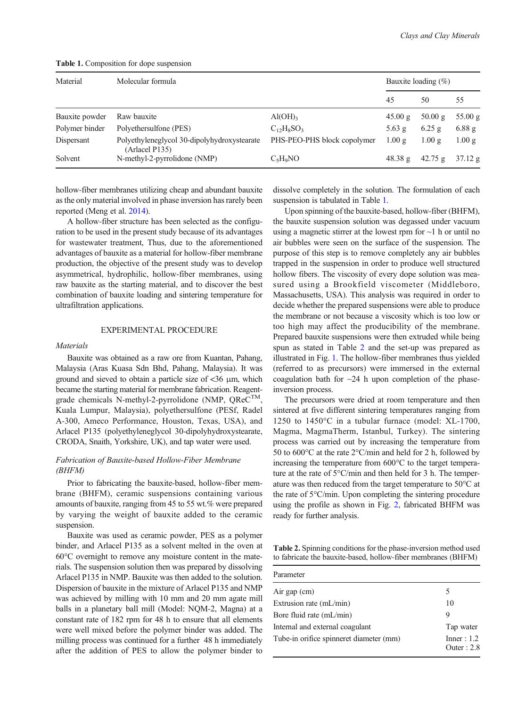| Material       | Molecular formula                                             |                                          |                   | Bauxite loading $(\% )$ |          |  |
|----------------|---------------------------------------------------------------|------------------------------------------|-------------------|-------------------------|----------|--|
|                |                                                               |                                          | 45                | 50                      | 55       |  |
| Bauxite powder | Raw bauxite                                                   | Al(OH)                                   | 45.00 g           | 50.00 g                 | 55.00 g  |  |
| Polymer binder | Polyethersulfone (PES)                                        | $C_1$ <sub>2</sub> $H_8$ SO <sub>3</sub> | $5.63$ g          | $6.25$ g                | $6.88$ g |  |
| Dispersant     | Polyethyleneglycol 30-dipolyhydroxystearate<br>(Arlacel P135) | PHS-PEO-PHS block copolymer              | 1.00 g            | $1.00 \text{ g}$        | 1.00 g   |  |
| Solvent        | N-methyl-2-pyrrolidone (NMP)                                  | $C_5H_9NO$                               | $48.38 \text{ g}$ | 42.75 g                 | 37.12 g  |  |

Table 1. Composition for dope suspension

hollow-fiber membranes utilizing cheap and abundant bauxite as the only material involved in phase inversion has rarely been reported (Meng et al. [2014\)](#page-9-0).

A hollow-fiber structure has been selected as the configuration to be used in the present study because of its advantages for wastewater treatment, Thus, due to the aforementioned advantages of bauxite as a material for hollow-fiber membrane production, the objective of the present study was to develop asymmetrical, hydrophilic, hollow-fiber membranes, using raw bauxite as the starting material, and to discover the best combination of bauxite loading and sintering temperature for ultrafiltration applications.

## EXPERIMENTAL PROCEDURE

#### **Materials**

Bauxite was obtained as a raw ore from Kuantan, Pahang, Malaysia (Aras Kuasa Sdn Bhd, Pahang, Malaysia). It was ground and sieved to obtain a particle size of  $\lt 36 \mu m$ , which became the starting material for membrane fabrication. Reagentgrade chemicals N-methyl-2-pyrrolidone (NMP,  $QReC^{TM}$ Kuala Lumpur, Malaysia), polyethersulfone (PESf, Radel A-300, Ameco Performance, Houston, Texas, USA), and Arlacel P135 (polyethyleneglycol 30-dipolyhydroxystearate, CRODA, Snaith, Yorkshire, UK), and tap water were used.

# Fabrication of Bauxite-based Hollow-Fiber Membrane (BHFM)

Prior to fabricating the bauxite-based, hollow-fiber membrane (BHFM), ceramic suspensions containing various amounts of bauxite, ranging from 45 to 55 wt.% were prepared by varying the weight of bauxite added to the ceramic suspension.

Bauxite was used as ceramic powder, PES as a polymer binder, and Arlacel P135 as a solvent melted in the oven at 60°C overnight to remove any moisture content in the materials. The suspension solution then was prepared by dissolving Arlacel P135 in NMP. Bauxite was then added to the solution. Dispersion of bauxite in the mixture of Arlacel P135 and NMP was achieved by milling with 10 mm and 20 mm agate mill balls in a planetary ball mill (Model: NQM-2, Magna) at a constant rate of 182 rpm for 48 h to ensure that all elements were well mixed before the polymer binder was added. The milling process was continued for a further 48 h immediately after the addition of PES to allow the polymer binder to

dissolve completely in the solution. The formulation of each suspension is tabulated in Table 1.

Upon spinning of the bauxite-based, hollow-fiber (BHFM), the bauxite suspension solution was degassed under vacuum using a magnetic stirrer at the lowest rpm for  $\sim$ 1 h or until no air bubbles were seen on the surface of the suspension. The purpose of this step is to remove completely any air bubbles trapped in the suspension in order to produce well structured hollow fibers. The viscosity of every dope solution was measured using a Brookfield viscometer (Middleboro, Massachusetts, USA). This analysis was required in order to decide whether the prepared suspensions were able to produce the membrane or not because a viscosity which is too low or too high may affect the producibility of the membrane. Prepared bauxite suspensions were then extruded while being spun as stated in Table 2 and the set-up was prepared as illustrated in Fig. [1](#page-2-0). The hollow-fiber membranes thus yielded (referred to as precursors) were immersed in the external coagulation bath for  $\sim$ 24 h upon completion of the phaseinversion process.

The precursors were dried at room temperature and then sintered at five different sintering temperatures ranging from 1250 to 1450°C in a tubular furnace (model: XL-1700, Magma, MagmaTherm, Istanbul, Turkey). The sintering process was carried out by increasing the temperature from 50 to 600°C at the rate 2°C/min and held for 2 h, followed by increasing the temperature from 600°C to the target temperature at the rate of 5°C/min and then held for 3 h. The temperature was then reduced from the target temperature to 50°C at the rate of 5°C/min. Upon completing the sintering procedure using the profile as shown in Fig. [2](#page-2-0), fabricated BHFM was ready for further analysis.

Table 2. Spinning conditions for the phase-inversion method used to fabricate the bauxite-based, hollow-fiber membranes (BHFM)

| Parameter                               |                             |
|-----------------------------------------|-----------------------------|
| Air gap (cm)                            | 5                           |
| Extrusion rate (mL/min)                 | 10                          |
| Bore fluid rate (mL/min)                | 9                           |
| Internal and external coagulant         | Tap water                   |
| Tube-in orifice spinneret diameter (mm) | Inner: 1.2<br>Outer : $2.8$ |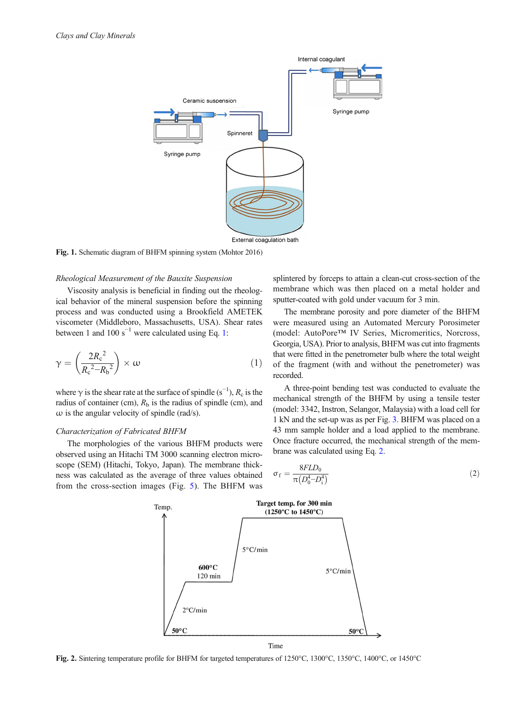<span id="page-2-0"></span>

Fig. 1. Schematic diagram of BHFM spinning system (Mohtor 2016)

#### Rheological Measurement of the Bauxite Suspension

Viscosity analysis is beneficial in finding out the rheological behavior of the mineral suspension before the spinning process and was conducted using a Brookfield AMETEK viscometer (Middleboro, Massachusetts, USA). Shear rates between 1 and 100 s<sup> $^{-1}$ </sup> were calculated using Eq. 1:

$$
\gamma = \left(\frac{2R_c^2}{R_c^2 - R_b^2}\right) \times \omega \tag{1}
$$

where  $\gamma$  is the shear rate at the surface of spindle (s<sup>-1</sup>),  $R_c$  is the radius of container (cm),  $R<sub>b</sub>$  is the radius of spindle (cm), and  $\omega$  is the angular velocity of spindle (rad/s).

## Characterization of Fabricated BHFM

The morphologies of the various BHFM products were observed using an Hitachi TM 3000 scanning electron microscope (SEM) (Hitachi, Tokyo, Japan). The membrane thickness was calculated as the average of three values obtained from the cross-section images (Fig. [5](#page-4-0)). The BHFM was splintered by forceps to attain a clean-cut cross-section of the membrane which was then placed on a metal holder and sputter-coated with gold under vacuum for 3 min.

The membrane porosity and pore diameter of the BHFM were measured using an Automated Mercury Porosimeter (model: AutoPore™ IV Series, Micromeritics, Norcross, Georgia, USA). Prior to analysis, BHFM was cut into fragments that were fitted in the penetrometer bulb where the total weight of the fragment (with and without the penetrometer) was recorded.

A three-point bending test was conducted to evaluate the mechanical strength of the BHFM by using a tensile tester (model: 3342, Instron, Selangor, Malaysia) with a load cell for 1 kN and the set-up was as per Fig. [3.](#page-3-0) BHFM was placed on a 43 mm sample holder and a load applied to the membrane. Once fracture occurred, the mechanical strength of the membrane was calculated using Eq. 2.

$$
\sigma_{\rm f} = \frac{8FLD_0}{\pi \left( D_0^4 - D_1^4 \right)}\tag{2}
$$



Fig. 2. Sintering temperature profile for BHFM for targeted temperatures of 1250°C, 1300°C, 1350°C, 1400°C, or 1450°C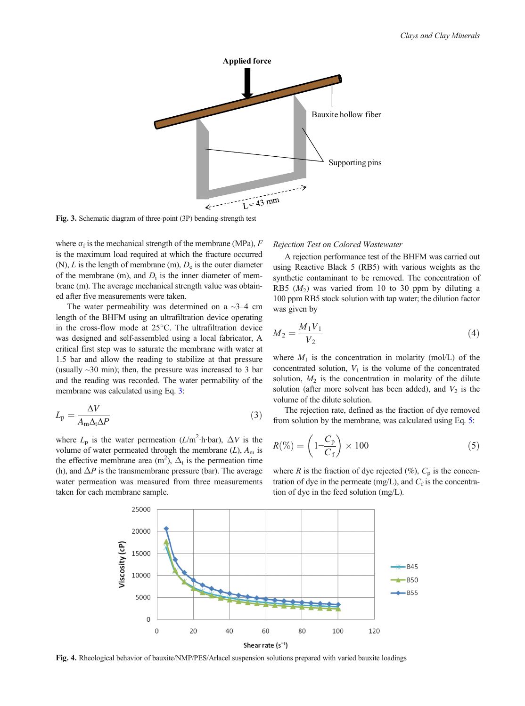<span id="page-3-0"></span>

Fig. 3. Schematic diagram of three-point (3P) bending-strength test

where  $\sigma_f$  is the mechanical strength of the membrane (MPa), F is the maximum load required at which the fracture occurred (N), L is the length of membrane (m),  $D_0$  is the outer diameter of the membrane (m), and  $D_i$  is the inner diameter of membrane (m). The average mechanical strength value was obtained after five measurements were taken.

The water permeability was determined on a  $\sim$ 3–4 cm length of the BHFM using an ultrafiltration device operating in the cross-flow mode at 25°C. The ultrafiltration device was designed and self-assembled using a local fabricator, A critical first step was to saturate the membrane with water at 1.5 bar and allow the reading to stabilize at that pressure (usually  $\sim$ 30 min); then, the pressure was increased to 3 bar and the reading was recorded. The water permability of the membrane was calculated using Eq. 3:

$$
L_{\rm p} = \frac{\Delta V}{A_{\rm m} \Delta_{\rm t} \Delta P} \tag{3}
$$

where  $L_p$  is the water permeation ( $L/m^2$ ·h·bar),  $\Delta V$  is the volume of water permeated through the membrane  $(L)$ ,  $A<sub>m</sub>$  is the effective membrane area  $(m^2)$ ,  $\Delta_t$  is the permeation time (h), and  $\Delta P$  is the transmembrane pressure (bar). The average water permeation was measured from three measurements taken for each membrane sample.

# Rejection Test on Colored Wastewater

A rejection performance test of the BHFM was carried out using Reactive Black 5 (RB5) with various weights as the synthetic contaminant to be removed. The concentration of RB5  $(M_2)$  was varied from 10 to 30 ppm by diluting a 100 ppm RB5 stock solution with tap water; the dilution factor was given by

$$
M_2 = \frac{M_1 V_1}{V_2} \tag{4}
$$

where  $M_1$  is the concentration in molarity (mol/L) of the concentrated solution,  $V_1$  is the volume of the concentrated solution,  $M_2$  is the concentration in molarity of the dilute solution (after more solvent has been added), and  $V_2$  is the volume of the dilute solution.

The rejection rate, defined as the fraction of dye removed from solution by the membrane, was calculated using Eq. 5:

$$
R(\%) = \left(1 - \frac{C_{\rm p}}{C_{\rm f}}\right) \times 100\tag{5}
$$

where R is the fraction of dye rejected (%),  $C_p$  is the concentration of dye in the permeate (mg/L), and  $C_f$  is the concentration of dye in the feed solution (mg/L).



Fig. 4. Rheological behavior of bauxite/NMP/PES/Arlacel suspension solutions prepared with varied bauxite loadings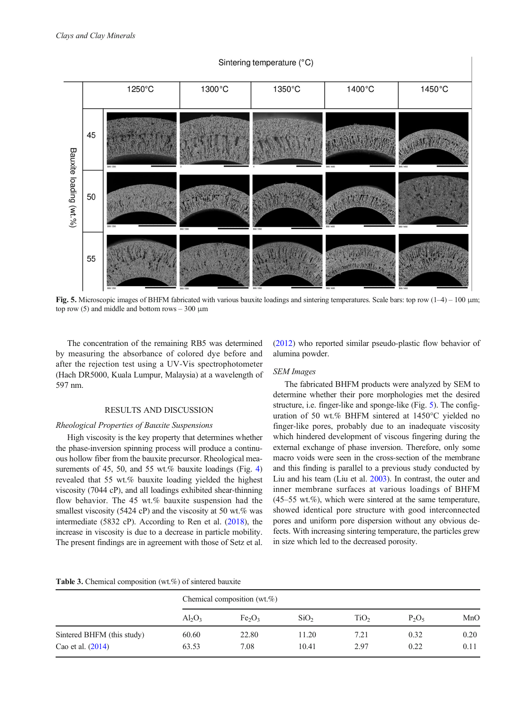# Sintering temperature (°C)

<span id="page-4-0"></span>

Fig. 5. Microscopic images of BHFM fabricated with various bauxite loadings and sintering temperatures. Scale bars: top row (1–4) – 100 μm; top row (5) and middle and bottom rows  $-300 \mu m$ 

The concentration of the remaining RB5 was determined by measuring the absorbance of colored dye before and after the rejection test using a UV-Vis spectrophotometer (Hach DR5000, Kuala Lumpur, Malaysia) at a wavelength of 597 nm.

#### RESULTS AND DISCUSSION

#### Rheological Properties of Bauxite Suspensions

High viscosity is the key property that determines whether the phase-inversion spinning process will produce a continuous hollow fiber from the bauxite precursor. Rheological mea-surements of 45, 50, and 55 wt.% bauxite loadings (Fig. [4\)](#page-3-0) revealed that 55 wt.% bauxite loading yielded the highest viscosity (7044 cP), and all loadings exhibited shear-thinning flow behavior. The 45 wt.% bauxite suspension had the smallest viscosity (5424 cP) and the viscosity at 50 wt.% was intermediate (5832 cP). According to Ren et al. [\(2018\)](#page-9-0), the increase in viscosity is due to a decrease in particle mobility. The present findings are in agreement with those of Setz et al.

[\(2012](#page-9-0)) who reported similar pseudo-plastic flow behavior of alumina powder.

# SEM Images

The fabricated BHFM products were analyzed by SEM to determine whether their pore morphologies met the desired structure, i.e. finger-like and sponge-like (Fig. 5). The configuration of 50 wt.% BHFM sintered at 1450°C yielded no finger-like pores, probably due to an inadequate viscosity which hindered development of viscous fingering during the external exchange of phase inversion. Therefore, only some macro voids were seen in the cross-section of the membrane and this finding is parallel to a previous study conducted by Liu and his team (Liu et al. [2003](#page-8-0)). In contrast, the outer and inner membrane surfaces at various loadings of BHFM (45–55 wt.%), which were sintered at the same temperature, showed identical pore structure with good interconnected pores and uniform pore dispersion without any obvious defects. With increasing sintering temperature, the particles grew in size which led to the decreased porosity.

| <b>Table 3.</b> Chemical composition (wt.%) of sintered bauxite |  |
|-----------------------------------------------------------------|--|
|-----------------------------------------------------------------|--|

|                            | Chemical composition $(wt, \%)$ |                                |                  |                  |          |      |  |
|----------------------------|---------------------------------|--------------------------------|------------------|------------------|----------|------|--|
|                            | $Al_2O_3$                       | Fe <sub>2</sub> O <sub>3</sub> | SiO <sub>2</sub> | TiO <sub>2</sub> | $P_2O_5$ | MnO  |  |
| Sintered BHFM (this study) | 60.60                           | 22.80                          | 11.20            | 7.21             | 0.32     | 0.20 |  |
| Cao et al. (2014)          | 63.53                           | 7.08                           | 10.41            | 2.97             | 0.22     | 0.11 |  |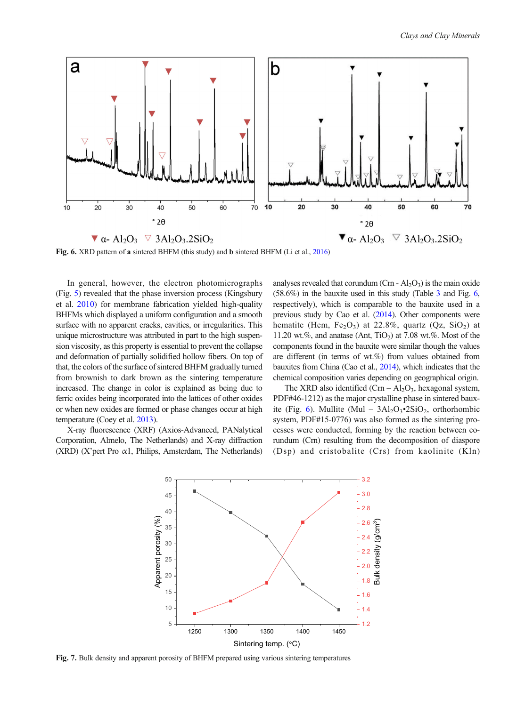<span id="page-5-0"></span>

Fig. 6. XRD pattern of a sintered BHFM (this study) and b sintered BHFM (Li et al., [2016\)](#page-8-0)

In general, however, the electron photomicrographs (Fig. [5\)](#page-4-0) revealed that the phase inversion process (Kingsbury et al. [2010](#page-8-0)) for membrane fabrication yielded high-quality BHFMs which displayed a uniform configuration and a smooth surface with no apparent cracks, cavities, or irregularities. This unique microstructure was attributed in part to the high suspension viscosity, as this property is essential to prevent the collapse and deformation of partially solidified hollow fibers. On top of that, the colors of the surface of sintered BHFM gradually turned from brownish to dark brown as the sintering temperature increased. The change in color is explained as being due to ferric oxides being incorporated into the lattices of other oxides or when new oxides are formed or phase changes occur at high temperature (Coey et al. [2013\)](#page-8-0).

X-ray fluorescence (XRF) (Axios-Advanced, PANalytical Corporation, Almelo, The Netherlands) and X-ray diffraction (XRD) (X'pert Pro α1, Philips, Amsterdam, The Netherlands) analyses revealed that corundum  $(Cm - Al<sub>2</sub>O<sub>3</sub>)$  is the main oxide (58.6%) in the bauxite used in this study (Table [3](#page-4-0) and Fig. 6, respectively), which is comparable to the bauxite used in a previous study by Cao et al. ([2014\)](#page-8-0). Other components were hematite (Hem,  $Fe<sub>2</sub>O<sub>3</sub>$ ) at 22.8%, quartz (Qz, SiO<sub>2</sub>) at 11.20 wt.%, and anatase (Ant, TiO<sub>2</sub>) at 7.08 wt.%. Most of the components found in the bauxite were similar though the values are different (in terms of wt.%) from values obtained from bauxites from China (Cao et al., [2014\)](#page-8-0), which indicates that the chemical composition varies depending on geographical origin.

The XRD also identified  $(Crn - Al<sub>2</sub>O<sub>3</sub>$ , hexagonal system, PDF#46-1212) as the major crystalline phase in sintered bauxite (Fig. 6). Mullite (Mul –  $3Al_2O_3$ •2SiO<sub>2</sub>, orthorhombic system, PDF#15-0776) was also formed as the sintering processes were conducted, forming by the reaction between corundum (Crn) resulting from the decomposition of diaspore (Dsp) and cristobalite (Crs) from kaolinite (Kln)



Fig. 7. Bulk density and apparent porosity of BHFM prepared using various sintering temperatures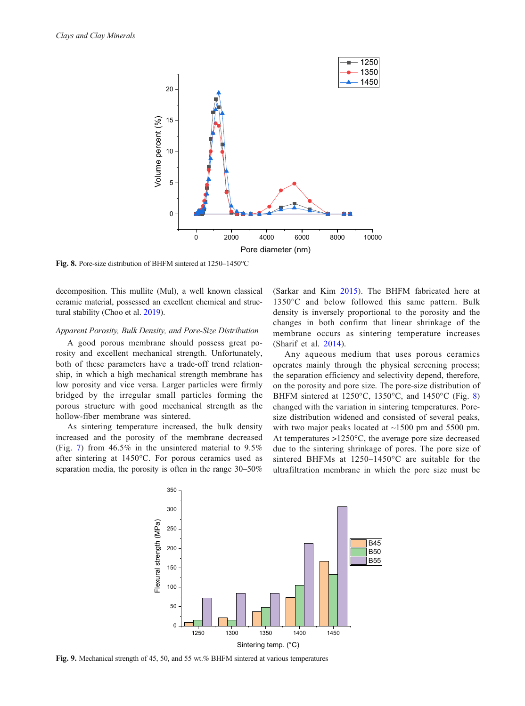<span id="page-6-0"></span>

Fig. 8. Pore-size distribution of BHFM sintered at 1250–1450°C

decomposition. This mullite (Mul), a well known classical ceramic material, possessed an excellent chemical and structural stability (Choo et al. [2019](#page-8-0)).

## Apparent Porosity, Bulk Density, and Pore-Size Distribution

A good porous membrane should possess great porosity and excellent mechanical strength. Unfortunately, both of these parameters have a trade-off trend relationship, in which a high mechanical strength membrane has low porosity and vice versa. Larger particles were firmly bridged by the irregular small particles forming the porous structure with good mechanical strength as the hollow-fiber membrane was sintered.

As sintering temperature increased, the bulk density increased and the porosity of the membrane decreased (Fig. [7](#page-5-0)) from 46.5% in the unsintered material to 9.5% after sintering at 1450°C. For porous ceramics used as separation media, the porosity is often in the range 30–50% (Sarkar and Kim [2015](#page-9-0)). The BHFM fabricated here at 1350°C and below followed this same pattern. Bulk density is inversely proportional to the porosity and the changes in both confirm that linear shrinkage of the membrane occurs as sintering temperature increases (Sharif et al. [2014\)](#page-9-0).

Any aqueous medium that uses porous ceramics operates mainly through the physical screening process; the separation efficiency and selectivity depend, therefore, on the porosity and pore size. The pore-size distribution of BHFM sintered at 1250°C, 1350°C, and 1450°C (Fig. 8) changed with the variation in sintering temperatures. Poresize distribution widened and consisted of several peaks, with two major peaks located at  $~1500$  pm and 5500 pm. At temperatures >1250°C, the average pore size decreased due to the sintering shrinkage of pores. The pore size of sintered BHFMs at 1250–1450°C are suitable for the ultrafiltration membrane in which the pore size must be



Fig. 9. Mechanical strength of 45, 50, and 55 wt.% BHFM sintered at various temperatures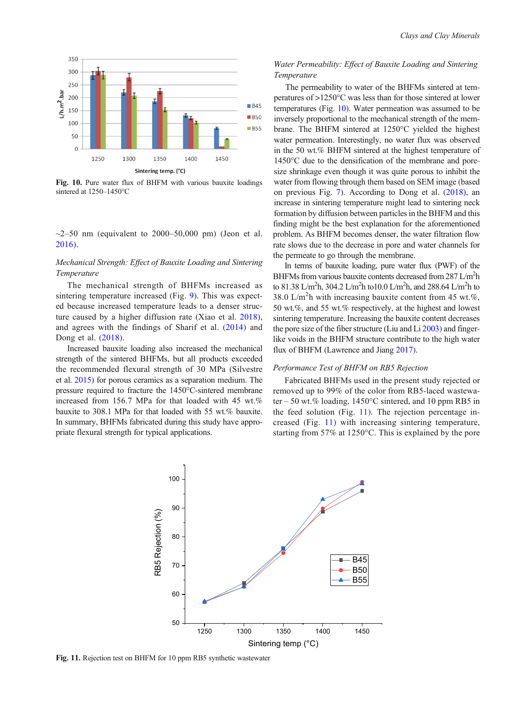

Fig. 10. Pure water flux of BHFM with various bauxite loadings sintered at 1250–1450°C

 $\sim$ 2–50 nm (equivalent to 2000–50,000 pm) (Jeon et al. [2016](#page-8-0)).

# Mechanical Strength: Effect of Bauxite Loading and Sintering Temperature

The mechanical strength of BHFMs increased as sintering temperature increased (Fig. [9](#page-6-0)). This was expected because increased temperature leads to a denser structure caused by a higher diffusion rate (Xiao et al. [2018](#page-9-0)), and agrees with the findings of Sharif et al. [\(2014\)](#page-9-0) and Dong et al. [\(2018\)](#page-8-0).

Increased bauxite loading also increased the mechanical strength of the sintered BHFMs, but all products exceeded the recommended flexural strength of 30 MPa (Silvestre et al. [2015](#page-9-0)) for porous ceramics as a separation medium. The pressure required to fracture the 1450°C-sintered membrane increased from 156.7 MPa for that loaded with 45 wt.% bauxite to 308.1 MPa for that loaded with 55 wt.% bauxite. In summary, BHFMs fabricated during this study have appropriate flexural strength for typical applications.

# Water Permeability: Effect of Bauxite Loading and Sintering Temperature

The permeability to water of the BHFMs sintered at temperatures of >1250°C was less than for those sintered at lower temperatures (Fig. 10). Water permeation was assumed to be inversely proportional to the mechanical strength of the membrane. The BHFM sintered at 1250°C yielded the highest water permeation. Interestingly, no water flux was observed in the 50 wt.% BHFM sintered at the highest temperature of 1450°C due to the densification of the membrane and poresize shrinkage even though it was quite porous to inhibit the water from flowing through them based on SEM image (based on previous Fig. [7](#page-5-0)). According to Dong et al. [\(2018\)](#page-8-0), an increase in sintering temperature might lead to sintering neck formation by diffusion between particles in the BHFM and this finding might be the best explanation for the aforementioned problem. As BHFM becomes denser, the water filtration flow rate slows due to the decrease in pore and water channels for the permeate to go through the membrane.

In terms of bauxite loading, pure water flux (PWF) of the BHFMs from various bauxite contents decreased from 287 L/m<sup>2</sup>h to 81.38 L/m<sup>2</sup>h, 304.2 L/m<sup>2</sup>h to10.0 L/m<sup>2</sup>h, and 288.64 L/m<sup>2</sup>h to 38.0 L/m<sup>2</sup>h with increasing bauxite content from 45 wt.%, 50 wt.%, and 55 wt.% respectively, at the highest and lowest sintering temperature. Increasing the bauxite content decreases the pore size of the fiber structure (Liu and Li [2003](#page-8-0)) and fingerlike voids in the BHFM structure contribute to the high water flux of BHFM (Lawrence and Jiang [2017\)](#page-8-0).

#### Performance Test of BHFM on RB5 Rejection

Fabricated BHFMs used in the present study rejected or removed up to 99% of the color from RB5-laced wastewater – 50 wt.% loading, 1450°C sintered, and 10 ppm RB5 in the feed solution (Fig. 11). The rejection percentage increased (Fig. 11) with increasing sintering temperature, starting from 57% at 1250°C. This is explained by the pore



Fig. 11. Rejection test on BHFM for 10 ppm RB5 synthetic wastewater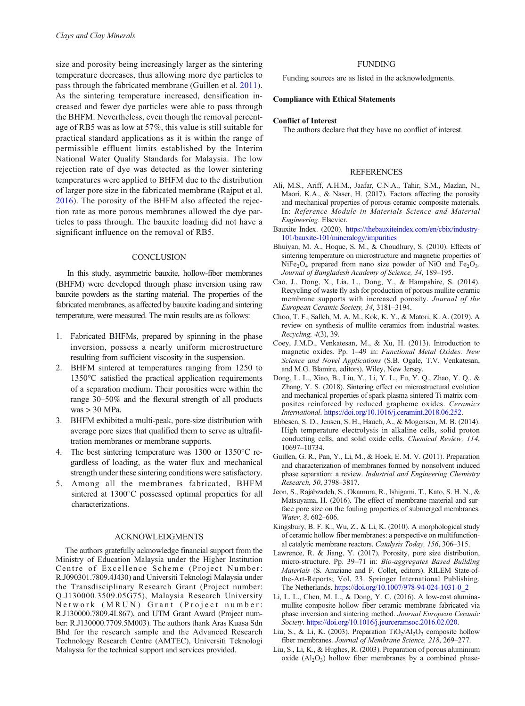<span id="page-8-0"></span>size and porosity being increasingly larger as the sintering temperature decreases, thus allowing more dye particles to pass through the fabricated membrane (Guillen et al. 2011). As the sintering temperature increased, densification increased and fewer dye particles were able to pass through the BHFM. Nevertheless, even though the removal percentage of RB5 was as low at 57%, this value is still suitable for practical standard applications as it is within the range of permissible effluent limits established by the Interim National Water Quality Standards for Malaysia. The low rejection rate of dye was detected as the lower sintering temperatures were applied to BHFM due to the distribution of larger pore size in the fabricated membrane (Rajput et al. [2016](#page-9-0)). The porosity of the BHFM also affected the rejection rate as more porous membranes allowed the dye particles to pass through. The bauxite loading did not have a significant influence on the removal of RB5.

#### **CONCLUSION**

In this study, asymmetric bauxite, hollow-fiber membranes (BHFM) were developed through phase inversion using raw bauxite powders as the starting material. The properties of the fabricated membranes, as affected by bauxite loading and sintering temperature, were measured. The main results are as follows:

- 1. Fabricated BHFMs, prepared by spinning in the phase inversion, possess a nearly uniform microstructure resulting from sufficient viscosity in the suspension.
- 2. BHFM sintered at temperatures ranging from 1250 to 1350°C satisfied the practical application requirements of a separation medium. Their porosities were within the range 30–50% and the flexural strength of all products was > 30 MPa.
- 3. BHFM exhibited a multi-peak, pore-size distribution with average pore sizes that qualified them to serve as ultrafiltration membranes or membrane supports.
- 4. The best sintering temperature was 1300 or 1350°C regardless of loading, as the water flux and mechanical strength under these sintering conditions were satisfactory.
- 5. Among all the membranes fabricated, BHFM sintered at 1300°C possessed optimal properties for all characterizations.

#### ACKNOWLEDGMENTS

The authors gratefully acknowledge financial support from the Ministry of Education Malaysia under the Higher Institution Centre of Excellence Scheme (Project Number: R.J090301.7809.4J430) and Universiti Teknologi Malaysia under the Transdisciplinary Research Grant (Project number: Q.J130000.3509.05G75), Malaysia Research University Network (MRUN) Grant (Project number: R.J130000.7809.4L867), and UTM Grant Award (Project number: R.J130000.7709.5M003). The authors thank Aras Kuasa Sdn Bhd for the research sample and the Advanced Research Technology Research Centre (AMTEC), Universiti Teknologi Malaysia for the technical support and services provided.

# FUNDING

Funding sources are as listed in the acknowledgments.

### Compliance with Ethical Statements

#### Conflict of Interest

The authors declare that they have no conflict of interest.

#### **REFERENCES**

- Ali, M.S., Ariff, A.H.M., Jaafar, C.N.A., Tahir, S.M., Mazlan, N., Maori, K.A., & Naser, H. (2017). Factors affecting the porosity and mechanical properties of porous ceramic composite materials. In: Reference Module in Materials Science and Material Engineering. Elsevier.
- Bauxite Index. (2020). [https://thebauxiteindex.com/en/cbix/industry-](https://thebauxiteindex.com/en/cbix/industry-101/bauxite-101/mineralogy/impurities)[101/bauxite-101/mineralogy/impurities](https://thebauxiteindex.com/en/cbix/industry-101/bauxite-101/mineralogy/impurities)
- Bhuiyan, M. A., Hoque, S. M., & Choudhury, S. (2010). Effects of sintering temperature on microstructure and magnetic properties of NiFe<sub>2</sub>O<sub>4</sub> prepared from nano size powder of NiO and Fe<sub>2</sub>O<sub>3</sub>. Journal of Bangladesh Academy of Science, 34, 189–195.
- Cao, J., Dong, X., Lia, L., Dong, Y., & Hampshire, S. (2014). Recycling of waste fly ash for production of porous mullite ceramic membrane supports with increased porosity. Journal of the European Ceramic Society, 34, 3181–3194.
- Choo, T. F., Salleh, M. A. M., Kok, K. Y., & Matori, K. A. (2019). A review on synthesis of mullite ceramics from industrial wastes. Recycling, 4(3), 39.
- Coey, J.M.D., Venkatesan, M., & Xu, H. (2013). Introduction to magnetic oxides. Pp. 1–49 in: Functional Metal Oxides: New Science and Novel Applications (S.B. Ogale, T.V. Venkatesan, and M.G. Blamire, editors). Wiley, New Jersey.
- Dong, L. L., Xiao, B., Liu, Y., Li, Y. L., Fu, Y. Q., Zhao, Y. Q., & Zhang, Y. S. (2018). Sintering effect on microstructural evolution and mechanical properties of spark plasma sintered Ti matrix composites reinforced by reduced grapheme oxides. Ceramics International. <https://doi.org/10.1016/j.ceramint.2018.06.252>.
- Ebbesen, S. D., Jensen, S. H., Hauch, A., & Mogensen, M. B. (2014). High temperature electrolysis in alkaline cells, solid proton conducting cells, and solid oxide cells. Chemical Review, 114, 10697–10734.
- Guillen, G. R., Pan, Y., Li, M., & Hoek, E. M. V. (2011). Preparation and characterization of membranes formed by nonsolvent induced phase separation: a review. Industrial and Engineering Chemistry Research, 50, 3798–3817.
- Jeon, S., Rajabzadeh, S., Okamura, R., Ishigami, T., Kato, S. H. N., & Matsuyama, H. (2016). The effect of membrane material and surface pore size on the fouling properties of submerged membranes. Water, 8, 602–606.
- Kingsbury, B. F. K., Wu, Z., & Li, K. (2010). A morphological study of ceramic hollow fiber membranes: a perspective on multifunctional catalytic membrane reactors. Catalysis Today, 156, 306–315.
- Lawrence, R. & Jiang, Y. (2017). Porosity, pore size distribution, micro-structure. Pp. 39–71 in: Bio-aggregates Based Building Materials (S. Amziane and F. Collet, editors). RILEM State-ofthe-Art-Reports; Vol. 23. Springer International Publishing, The Netherlands. [https://doi.org/10.1007/978-94-024-1031-0\\_2](https://doi.org/10.1007/978-94-024-1031-0_2)
- Li, L. L., Chen, M. L., & Dong, Y. C. (2016). A low-cost aluminamullite composite hollow fiber ceramic membrane fabricated via phase inversion and sintering method. Journal European Ceramic Society. [https://doi.org/10.1016/j.jeurceramsoc.2016.02.020.](https://doi.org/10.1016/j.jeurceramsoc.2016.02.020)
- Liu, S., & Li, K. (2003). Preparation  $TiO<sub>2</sub>/Al<sub>2</sub>O<sub>3</sub>$  composite hollow fiber membranes. Journal of Membrane Science, 218, 269–277.
- Liu, S., Li, K., & Hughes, R. (2003). Preparation of porous aluminium oxide  $(Al<sub>2</sub>O<sub>3</sub>)$  hollow fiber membranes by a combined phase-